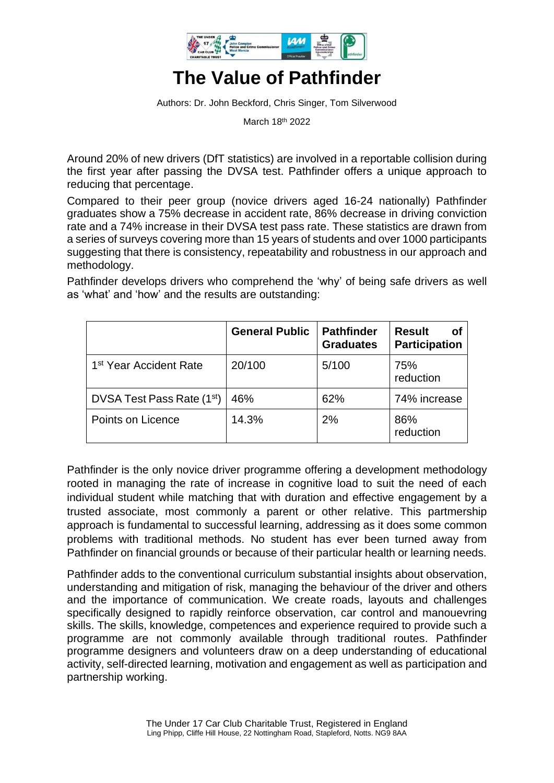

## **The Value of Pathfinder**

Authors: Dr. John Beckford, Chris Singer, Tom Silverwood

March 18th 2022

Around 20% of new drivers (DfT statistics) are involved in a reportable collision during the first year after passing the DVSA test. Pathfinder offers a unique approach to reducing that percentage.

Compared to their peer group (novice drivers aged 16-24 nationally) Pathfinder graduates show a 75% decrease in accident rate, 86% decrease in driving conviction rate and a 74% increase in their DVSA test pass rate. These statistics are drawn from a series of surveys covering more than 15 years of students and over 1000 participants suggesting that there is consistency, repeatability and robustness in our approach and methodology.

Pathfinder develops drivers who comprehend the 'why' of being safe drivers as well as 'what' and 'how' and the results are outstanding:

|                                        | <b>General Public</b> | <b>Pathfinder</b><br><b>Graduates</b> | <b>Result</b><br>Οf<br><b>Participation</b> |
|----------------------------------------|-----------------------|---------------------------------------|---------------------------------------------|
| 1 <sup>st</sup> Year Accident Rate     | 20/100                | 5/100                                 | 75%<br>reduction                            |
| DVSA Test Pass Rate (1 <sup>st</sup> ) | 46%                   | 62%                                   | 74% increase                                |
| Points on Licence                      | 14.3%                 | 2%                                    | 86%<br>reduction                            |

Pathfinder is the only novice driver programme offering a development methodology rooted in managing the rate of increase in cognitive load to suit the need of each individual student while matching that with duration and effective engagement by a trusted associate, most commonly a parent or other relative. This partmership approach is fundamental to successful learning, addressing as it does some common problems with traditional methods. No student has ever been turned away from Pathfinder on financial grounds or because of their particular health or learning needs.

Pathfinder adds to the conventional curriculum substantial insights about observation, understanding and mitigation of risk, managing the behaviour of the driver and others and the importance of communication. We create roads, layouts and challenges specifically designed to rapidly reinforce observation, car control and manouevring skills. The skills, knowledge, competences and experience required to provide such a programme are not commonly available through traditional routes. Pathfinder programme designers and volunteers draw on a deep understanding of educational activity, self-directed learning, motivation and engagement as well as participation and partnership working.